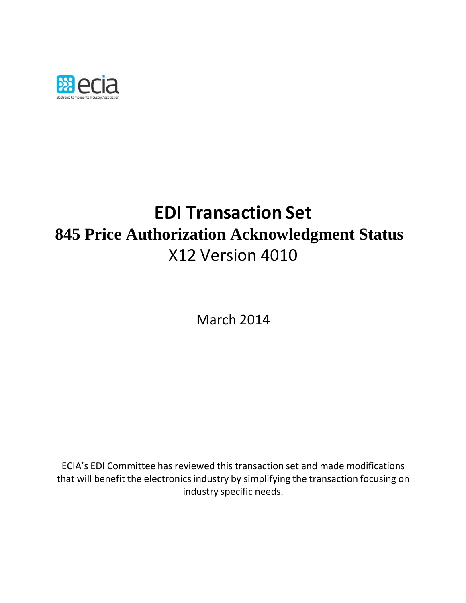

# **EDI Transaction Set 845 Price Authorization Acknowledgment Status** X12 Version 4010

March 2014

ECIA's EDI Committee has reviewed this transaction set and made modifications that will benefit the electronics industry by simplifying the transaction focusing on industry specific needs.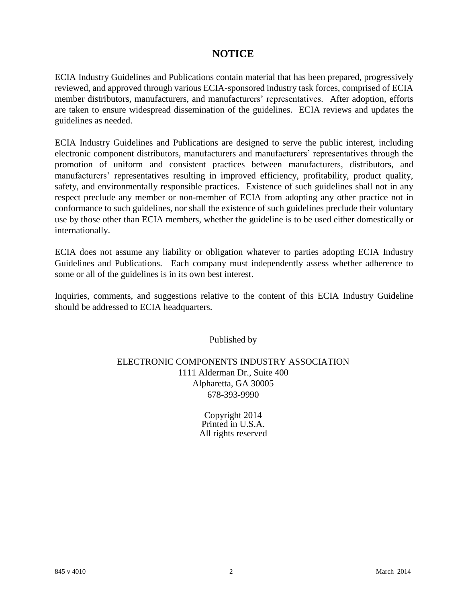### **NOTICE**

ECIA Industry Guidelines and Publications contain material that has been prepared, progressively reviewed, and approved through various ECIA-sponsored industry task forces, comprised of ECIA member distributors, manufacturers, and manufacturers' representatives. After adoption, efforts are taken to ensure widespread dissemination of the guidelines. ECIA reviews and updates the guidelines as needed.

ECIA Industry Guidelines and Publications are designed to serve the public interest, including electronic component distributors, manufacturers and manufacturers' representatives through the promotion of uniform and consistent practices between manufacturers, distributors, and manufacturers' representatives resulting in improved efficiency, profitability, product quality, safety, and environmentally responsible practices. Existence of such guidelines shall not in any respect preclude any member or non-member of ECIA from adopting any other practice not in conformance to such guidelines, nor shall the existence of such guidelines preclude their voluntary use by those other than ECIA members, whether the guideline is to be used either domestically or internationally.

ECIA does not assume any liability or obligation whatever to parties adopting ECIA Industry Guidelines and Publications. Each company must independently assess whether adherence to some or all of the guidelines is in its own best interest.

Inquiries, comments, and suggestions relative to the content of this ECIA Industry Guideline should be addressed to ECIA headquarters.

Published by

#### ELECTRONIC COMPONENTS INDUSTRY ASSOCIATION 1111 Alderman Dr., Suite 400 Alpharetta, GA 30005 678-393-9990

Copyright 2014 Printed in U.S.A. All rights reserved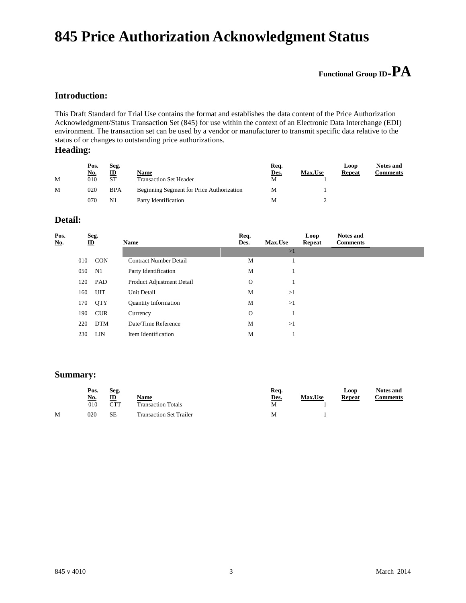## **845 Price Authorization Acknowledgment Status**

### **Functional Group ID=PA**

#### **Introduction:**

This Draft Standard for Trial Use contains the format and establishes the data content of the Price Authorization Acknowledgment/Status Transaction Set (845) for use within the context of an Electronic Data Interchange (EDI) environment. The transaction set can be used by a vendor or manufacturer to transmit specific data relative to the status of or changes to outstanding price authorizations.

#### **Heading:**

|   | Pos.<br><u>No.</u> | Seg.<br>ID     | Name                                      | Req.<br>Des. | Max.Use | Loop<br>Repeat | <b>Notes and</b><br>Comments |
|---|--------------------|----------------|-------------------------------------------|--------------|---------|----------------|------------------------------|
| M | 010                | <b>ST</b>      | <b>Transaction Set Header</b>             | M            |         |                |                              |
| M | 020                | <b>BPA</b>     | Beginning Segment for Price Authorization | M            |         |                |                              |
|   | 070                | N <sub>1</sub> | Party Identification                      | M            |         |                |                              |

#### **Detail:**

| Pos.<br><u>No.</u> |     | Seg.<br>$\underline{\mathbf{ID}}$ | <b>Name</b>                   | Req.<br>Des. | <b>Max.Use</b> | Loop<br>Repeat | <b>Notes and</b><br><b>Comments</b> |  |
|--------------------|-----|-----------------------------------|-------------------------------|--------------|----------------|----------------|-------------------------------------|--|
|                    |     |                                   |                               |              | >1             |                |                                     |  |
|                    | 010 | <b>CON</b>                        | <b>Contract Number Detail</b> | M            |                |                |                                     |  |
|                    | 050 | N1                                | Party Identification          | M            | -1             |                |                                     |  |
|                    | 120 | PAD                               | Product Adjustment Detail     | $\Omega$     |                |                |                                     |  |
|                    | 160 | <b>UIT</b>                        | <b>Unit Detail</b>            | M            | >1             |                |                                     |  |
|                    | 170 | <b>QTY</b>                        | <b>Quantity Information</b>   | M            | >1             |                |                                     |  |
|                    | 190 | <b>CUR</b>                        | Currency                      | $\mathbf{O}$ |                |                |                                     |  |
|                    | 220 | <b>DTM</b>                        | Date/Time Reference           | M            | >1             |                |                                     |  |
|                    | 230 | LIN                               | Item Identification           | M            |                |                |                                     |  |

#### **Summary:**

|   | Pos.<br>Seg. |     |                                | Req. |                | Loop          | <b>Notes and</b> |
|---|--------------|-----|--------------------------------|------|----------------|---------------|------------------|
|   | <u>No.</u>   | ID  | <u>Name</u>                    | Des. | <b>Max.Use</b> | <b>Repeat</b> | Comments         |
|   | 010          | CTT | <b>Transaction Totals</b>      | M    |                |               |                  |
| М | 020          | SЕ  | <b>Transaction Set Trailer</b> | M    |                |               |                  |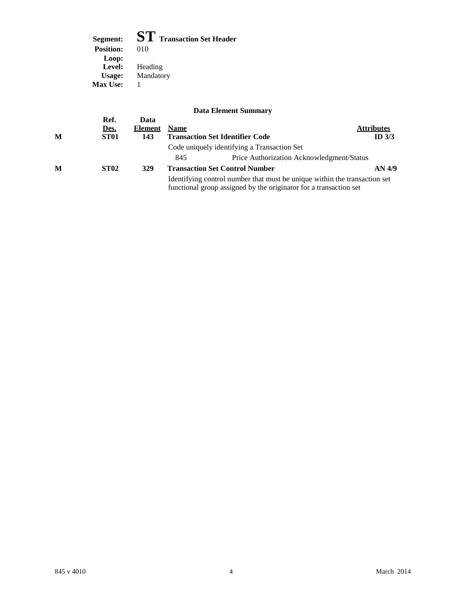**Segment: ST Transaction Set Header Position:** Loop:<br>
Level: **Level:** Heading **Usage:** Mandatory **Max Use:** 1

|   | Ref.             | Data    |             | <b>Data Element Summary</b>                                                                                                                    |                   |
|---|------------------|---------|-------------|------------------------------------------------------------------------------------------------------------------------------------------------|-------------------|
|   | Des.             | Element | <b>Name</b> |                                                                                                                                                | <b>Attributes</b> |
| M | ST <sub>01</sub> | 143     |             | <b>Transaction Set Identifier Code</b>                                                                                                         | ID $3/3$          |
|   |                  |         |             | Code uniquely identifying a Transaction Set                                                                                                    |                   |
|   |                  |         | 845         | Price Authorization Acknowledgment/Status                                                                                                      |                   |
| M | <b>ST02</b>      | 329     |             | <b>Transaction Set Control Number</b>                                                                                                          | AN 4/9            |
|   |                  |         |             | Identifying control number that must be unique within the transaction set<br>functional group assigned by the originator for a transaction set |                   |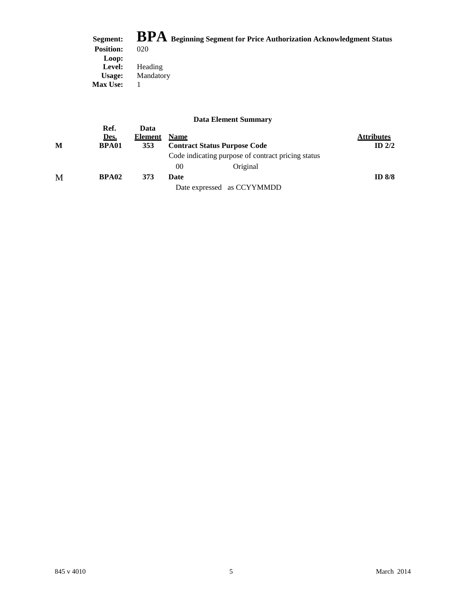|                  | Segment: BPA Beginning Segment for Price Authorization Acknowledgment Status |
|------------------|------------------------------------------------------------------------------|
| <b>Position:</b> | 020                                                                          |
| Loop:            |                                                                              |
| Level:           | Heading                                                                      |
| Usage:           | Mandatory                                                                    |
| <b>Max Use:</b>  |                                                                              |

|   |              |                 |             | рам вкисне баннии у                                |                   |
|---|--------------|-----------------|-------------|----------------------------------------------------|-------------------|
|   | Ref.<br>Des. | Data<br>Element | <b>Name</b> |                                                    | <b>Attributes</b> |
| M | <b>BPA01</b> | 353             |             | <b>Contract Status Purpose Code</b>                | ID $2/2$          |
|   |              |                 |             | Code indicating purpose of contract pricing status |                   |
|   |              |                 | 00          | Original                                           |                   |
| M | BPA02        | 373             | Date        |                                                    | ID $8/8$          |
|   |              |                 |             | Date expressed as CCYYMMDD                         |                   |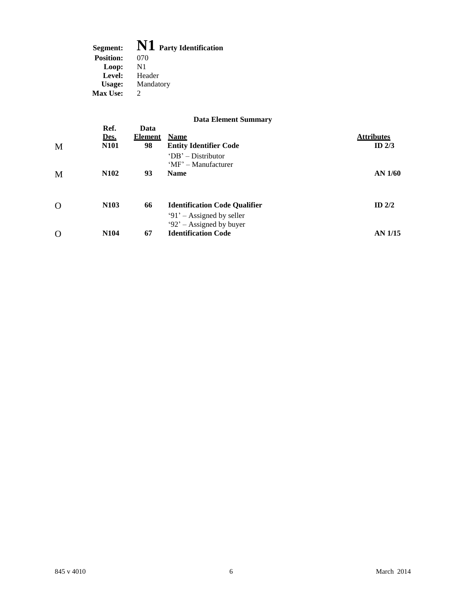| Segment:         | N1 Party Identification |
|------------------|-------------------------|
| <b>Position:</b> | 070                     |
| Loop:            | N1                      |
| Level:           | Header                  |
| Usage:           | Mandatory               |
| <b>Max Use:</b>  | $\mathcal{D}$           |
|                  |                         |

|          | Ref.                | Data                 | $\boldsymbol{\nu}$ and $\boldsymbol{\Pi}$ and $\boldsymbol{\nu}$ beginning $\boldsymbol{\eta}$ |                               |
|----------|---------------------|----------------------|------------------------------------------------------------------------------------------------|-------------------------------|
| M        | Des.<br><b>N101</b> | <b>Element</b><br>98 | <b>Name</b><br><b>Entity Identifier Code</b>                                                   | <b>Attributes</b><br>ID $2/3$ |
|          |                     |                      | $'DB'$ – Distributor<br>'MF' – Manufacturer                                                    |                               |
| M        | N <sub>102</sub>    | 93                   | <b>Name</b>                                                                                    | <b>AN 1/60</b>                |
| $\Omega$ | N <sub>103</sub>    | 66                   | <b>Identification Code Qualifier</b>                                                           | ID $2/2$                      |
|          |                     |                      | $91'$ – Assigned by seller<br>$92'$ – Assigned by buyer                                        |                               |
| $\Omega$ | N <sub>104</sub>    | 67                   | <b>Identification Code</b>                                                                     | AN 1/15                       |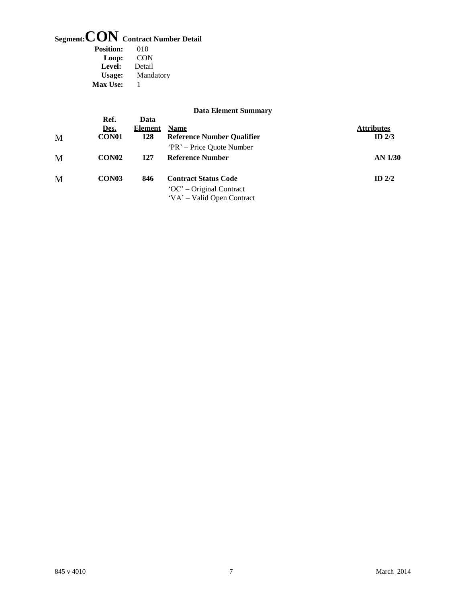## **Segment:CON Contract Number Detail**

| <b>Position:</b> | 010       |
|------------------|-----------|
| Loop:            | CON       |
| Level:           | Detail    |
| Usage:           | Mandatory |
| Max Use:         | ı         |

|                                   |                               | раца елениент эмпинат у                                          |                               |
|-----------------------------------|-------------------------------|------------------------------------------------------------------|-------------------------------|
| Ref.<br>Des.<br>CON <sub>01</sub> | Data<br><b>Element</b><br>128 | <b>Name</b><br><b>Reference Number Qualifier</b>                 | <b>Attributes</b><br>ID $2/3$ |
|                                   |                               | 'PR' – Price Quote Number                                        |                               |
| CON <sub>02</sub>                 | 127                           | <b>Reference Number</b>                                          | AN 1/30                       |
| CON <sub>03</sub>                 | 846                           | <b>Contract Status Code</b>                                      | ID $2/2$                      |
|                                   |                               | $^{\circ}$ OC' – Original Contract<br>'VA' – Valid Open Contract |                               |
|                                   |                               |                                                                  |                               |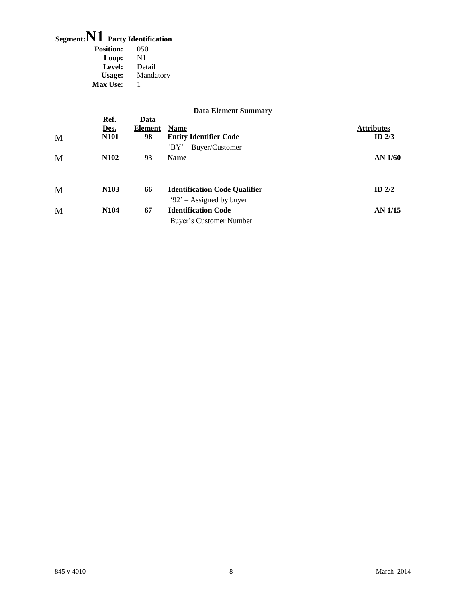## **Segment:N1 Party Identification**

| 050            |
|----------------|
| $\mathbf{N}$ 1 |
| Detail         |
| Mandatory      |
| ı              |
|                |

|   |                             |                       | <b>Data Element Summary</b>                                       |                               |
|---|-----------------------------|-----------------------|-------------------------------------------------------------------|-------------------------------|
| M | Ref.<br>Des.<br><b>N101</b> | Data<br>Element<br>98 | <b>Name</b><br><b>Entity Identifier Code</b>                      | <b>Attributes</b><br>ID $2/3$ |
| M | <b>N102</b>                 | 93                    | $'BY' - Buyer/Customer$<br><b>Name</b>                            | $AN$ 1/60                     |
| M | N <sub>103</sub>            | 66                    | <b>Identification Code Qualifier</b><br>$92'$ – Assigned by buyer | ID $2/2$                      |
| M | N <sub>104</sub>            | 67                    | <b>Identification Code</b><br>Buyer's Customer Number             | <b>AN 1/15</b>                |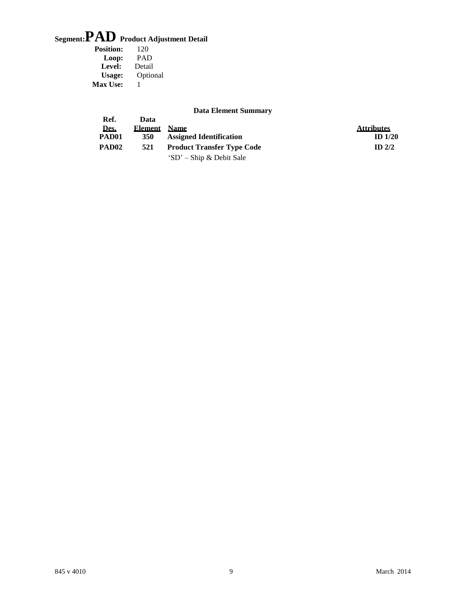# **Segment:PAD Product Adjustment Detail**

| <b>Position:</b> | 120        |
|------------------|------------|
| Loop:            | <b>PAD</b> |
| Level:           | Detail     |
| Usage:           | Optional   |
| <b>Max Use:</b>  | ı          |

| <b>Data Element Summary</b> |  |
|-----------------------------|--|
|-----------------------------|--|

|                   |         | рата еленісін әйіншаг у           |                   |
|-------------------|---------|-----------------------------------|-------------------|
| Ref.              | Data    |                                   |                   |
| Des.              | Element | <b>Name</b>                       | <b>Attributes</b> |
| PAD01             | 350     | <b>Assigned Identification</b>    | ID $1/20$         |
| PAD <sub>02</sub> | 521     | <b>Product Transfer Type Code</b> | ID $2/2$          |
|                   |         | 'SD' – Ship & Debit Sale          |                   |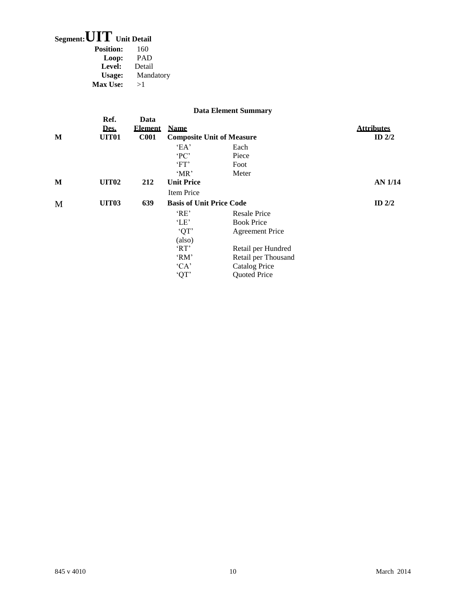### **Segment:UIT Unit Detail**

| <b>Position:</b> | 160        |
|------------------|------------|
| Loop:            | <b>PAD</b> |
| Level:           | Detail     |
| Usage:           | Mandatory  |
| <b>Max Use:</b>  | >1         |

|   |                                   |                                       |                                                                   | <b>Data Element Summary</b>                                                       |                               |
|---|-----------------------------------|---------------------------------------|-------------------------------------------------------------------|-----------------------------------------------------------------------------------|-------------------------------|
| M | Ref.<br>Des.<br>UIT <sub>01</sub> | Data<br><b>Element</b><br><b>C001</b> | <b>Name</b><br><b>Composite Unit of Measure</b>                   |                                                                                   | <b>Attributes</b><br>ID $2/2$ |
|   |                                   |                                       | $E$ A'<br>PC<br>'FT'<br>$^{\circ}MR^{\prime}$                     | Each<br>Piece<br>Foot<br>Meter                                                    |                               |
| M | <b>UIT02</b>                      | 212                                   | <b>Unit Price</b><br>Item Price                                   |                                                                                   | AN 1/14                       |
| M | <b>UIT03</b>                      | 639                                   | <b>Basis of Unit Price Code</b><br>'RE'<br>'LE'<br>'QT'<br>(also) | <b>Resale Price</b><br><b>Book Price</b><br><b>Agreement Price</b>                | ID $2/2$                      |
|   |                                   |                                       | 'RT'<br>$^{\circ}RM^{\circ}$<br>C A<br>'QT'                       | Retail per Hundred<br>Retail per Thousand<br><b>Catalog Price</b><br>Quoted Price |                               |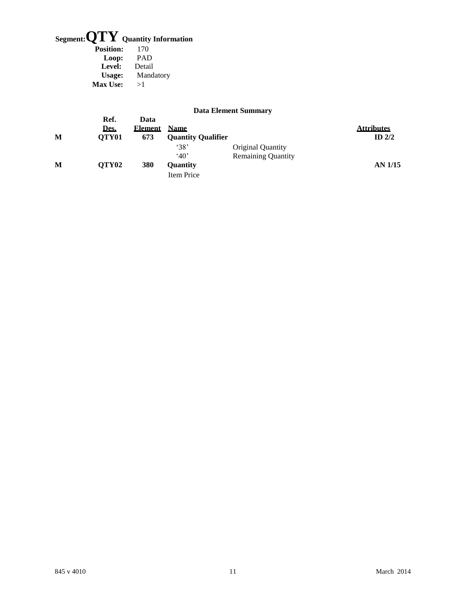# **Segment:QTY Quantity Information**

| 170        |
|------------|
| <b>PAD</b> |
| Detail     |
| Mandatory  |
| >1         |
|            |

|   |                       |                               |                                          | <b>Data Element Summary</b> |                               |
|---|-----------------------|-------------------------------|------------------------------------------|-----------------------------|-------------------------------|
| М | Ref.<br>Des.<br>OTY01 | Data<br><b>Element</b><br>673 | <b>Name</b><br><b>Quantity Qualifier</b> |                             | <b>Attributes</b><br>ID $2/2$ |
|   |                       |                               | $^{\circ}38'$                            | Original Quantity           |                               |
| М | QTY <sub>02</sub>     | 380                           | $^440'$<br>Ouantity                      | <b>Remaining Quantity</b>   | AN 1/15                       |
|   |                       |                               | Item Price                               |                             |                               |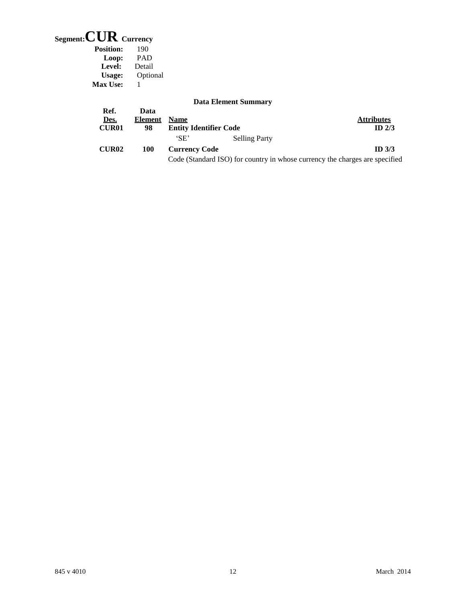## **Segment:CUR Currency**

| <b>Position:</b> | 190        |
|------------------|------------|
| Loop:            | <b>PAD</b> |
| Level:           | Detail     |
| Usage:           | Optional   |
| <b>Max Use:</b>  |            |

| <b>Data Element Summary</b> |  |
|-----------------------------|--|
|-----------------------------|--|

|              |                 |                               | Dana Enchichte Dumman                                                       |                   |
|--------------|-----------------|-------------------------------|-----------------------------------------------------------------------------|-------------------|
| Ref.<br>Des. | Data<br>Element | <b>Name</b>                   |                                                                             | <b>Attributes</b> |
| <b>CUR01</b> | 98              | <b>Entity Identifier Code</b> |                                                                             | $ID$ 2/3          |
|              |                 | $^{\circ}$ SE'                | <b>Selling Party</b>                                                        |                   |
| <b>CUR02</b> | 100             | <b>Currency Code</b>          |                                                                             | ID <sub>3/3</sub> |
|              |                 |                               | Code (Standard ISO) for country in whose currency the charges are specified |                   |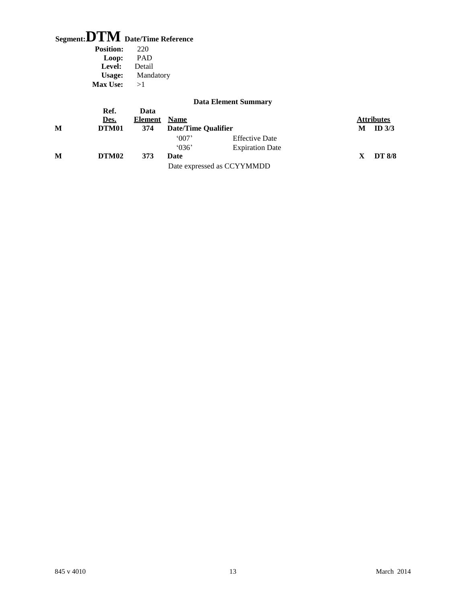### **Segment:DTM Date/Time Reference**

| 220        |
|------------|
| <b>PAD</b> |
| Detail     |
| Mandatory  |
| >1         |
|            |

|   |              |                        |                     | <b>Data Element Summary</b> |   |                   |
|---|--------------|------------------------|---------------------|-----------------------------|---|-------------------|
|   | Ref.<br>Des. | Data<br><b>Element</b> | <b>Name</b>         |                             |   | <b>Attributes</b> |
| M | DTM01        | 374                    | Date/Time Qualifier |                             | M | ID $3/3$          |
|   |              |                        | 007'                | <b>Effective Date</b>       |   |                   |
|   |              |                        | $^{\circ}$ 036'     | <b>Expiration Date</b>      |   |                   |
| M | DTM02        | 373                    | Date                |                             |   | <b>DT 8/8</b>     |
|   |              |                        |                     | Date expressed as CCYYMMDD  |   |                   |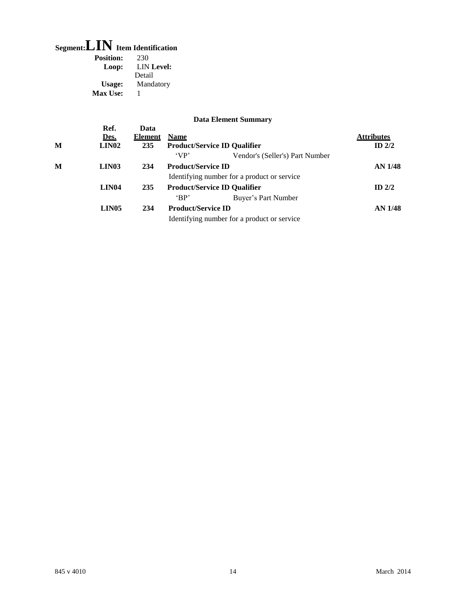## **Segment:LIN Item Identification**

| <b>Position:</b> | 230               |
|------------------|-------------------|
| Loop:            | <b>LIN</b> Level: |
|                  | Detail            |
| Usage:           | Mandatory         |
| Max Use:         | 1                 |
|                  |                   |

| M | Ref.<br>Des.<br>LIN02 | Data<br><b>Element</b><br>235 | <b>Name</b>                         | <b>Product/Service ID Qualifier</b>         | <b>Attributes</b><br>ID $2/2$ |
|---|-----------------------|-------------------------------|-------------------------------------|---------------------------------------------|-------------------------------|
|   |                       |                               | 'VP'                                | Vendor's (Seller's) Part Number             |                               |
| M | LIN03                 | 234                           | <b>Product/Service ID</b>           |                                             | <b>AN 1/48</b>                |
|   |                       |                               |                                     | Identifying number for a product or service |                               |
|   | LIN04                 | 235                           | <b>Product/Service ID Qualifier</b> |                                             | ID $2/2$                      |
|   |                       |                               | $^{\circ}BP'$                       | Buyer's Part Number                         |                               |
|   | LIN05                 | 234                           | <b>Product/Service ID</b>           |                                             | <b>AN 1/48</b>                |
|   |                       |                               |                                     | Identifying number for a product or service |                               |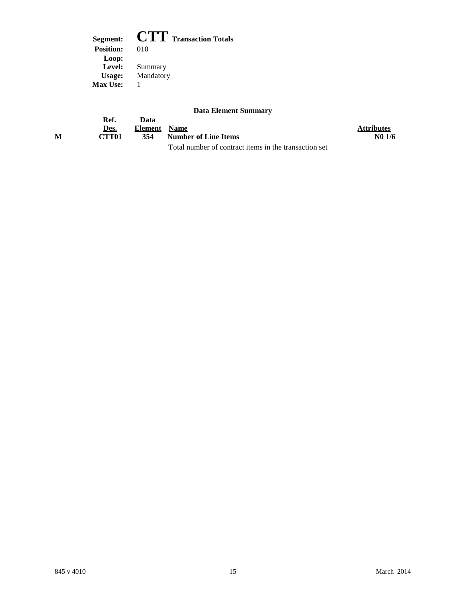**Segment: CTT Transaction Totals**<br>Position: 010 **Position:** Loop:<br>
Level: **Level:** Summary **Usage:** Mandatory **Max Use:** 1

|   | Ref.              | Data         |                                                       |                   |
|---|-------------------|--------------|-------------------------------------------------------|-------------------|
|   | Des.              | Element Name |                                                       | <b>Attributes</b> |
| м | CTT <sub>01</sub> | 354          | Number of Line Items                                  | N01/6             |
|   |                   |              | Total number of contract items in the transaction set |                   |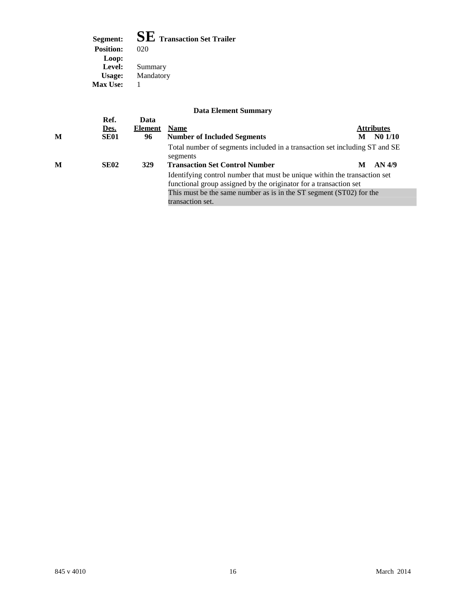**Segment: SE Transaction Set Trailer Position:** Loop:<br>
Level: **Level:** Summary **Usage:** Mandatory **Max Use:** 1

| M | Ref.<br>Des.<br><b>SE01</b> | Data<br><b>Element</b><br>96 | <b>Name</b><br><b>Number of Included Segments</b>                                                                                                                                                      | M | <b>Attributes</b><br>N01/10 |
|---|-----------------------------|------------------------------|--------------------------------------------------------------------------------------------------------------------------------------------------------------------------------------------------------|---|-----------------------------|
|   |                             |                              | Total number of segments included in a transaction set including ST and SE<br>segments                                                                                                                 |   |                             |
| M | SE <sub>02</sub>            | 329                          | <b>Transaction Set Control Number</b><br>AN 4/9<br>М<br>Identifying control number that must be unique within the transaction set<br>functional group assigned by the originator for a transaction set |   |                             |
|   |                             |                              | This must be the same number as is in the ST segment (ST02) for the<br>transaction set.                                                                                                                |   |                             |